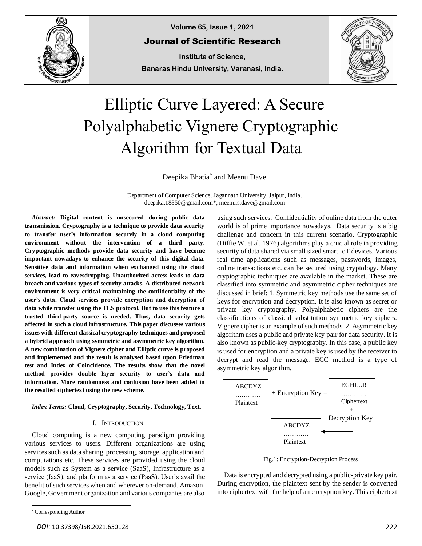

**Volume 65, Issue 1, 2021**

Journal of Scientific Research

**Institute of Science, Banaras Hindu University, Varanasi, India.**



# Elliptic Curve Layered: A Secure Polyalphabetic Vignere Cryptographic Algorithm for Textual Data

Deepika Bhatia\* and Meenu Dave

Department of Computer Science, Jagannath University, Jaipur, India. deepika.18850@gmail.com\*, meenu.s.dave@gmail.com

*Abstract:* **Digital content is unsecured during public data transmission. Cryptography is a technique to provide data security to transfer user's information securely in a cloud computing environment without the intervention of a third party. Cryptographic methods provide data security and have become important nowadays to enhance the security of this digital data. Sensitive data and information when exchanged using the cloud services, lead to eavesdropping. Unauthorized access leads to data breach and various types of security attacks. A distributed network environment is very critical maintaining the confidentiality of the user's data. Cloud services provide encryption and decryption of data while transfer using the TLS protocol. But to use this feature a trusted third-party source is needed. Thus, data security gets affected in such a cloud infrastructure. This paper discusses various issues with different classical cryptography techniques and proposed a hybrid approach using symmetric and asymmetric key algorithm. A new combination of Vignere cipher and Elliptic curve is proposed and implemented and the result is analysed based upon Friedman test and Index of Coincidence. The results show that the novel method provides double layer security to user's data and information. More randomness and confusion have been added in the resulted ciphertext using the new scheme.**

*Index Terms:* **Cloud, Cryptography, Security, Technology, Text.**

#### I. INTRODUCTION

Cloud computing is a new computing paradigm providing various services to users. Different organizations are using services such as data sharing, processing, storage, application and computations etc. These services are provided using the cloud models such as System as a service (SaaS), Infrastructure as a service (IaaS), and platform as a service (PaaS). User's avail the benefit of such services when and wherever on-demand. Amazon, Google, Government organization and various companies are also

using such services. Confidentiality of online data from the outer world is of prime importance nowadays. Data security is a big challenge and concern in this current scenario. Cryptographic (Diffie W. et al. 1976) algorithms play a crucial role in providing security of data shared via small sized smart IoT devices. Various real time applications such as messages, passwords, images, online transactions etc. can be secured using cryptology. Many cryptographic techniques are available in the market. These are classified into symmetric and asymmetric cipher techniques are discussed in brief: 1. Symmetric key methods use the same set of keys for encryption and decryption. It is also known as secret or private key cryptography. Polyalphabetic ciphers are the classifications of classical substitution symmetric key ciphers. Vignere cipher is an example of such methods. 2. Asymmetric key algorithm uses a public and private key pair for data security. It is also known as public-key cryptography. In this case, a public key is used for encryption and a private key is used by the receiver to decrypt and read the message. ECC method is a type of asymmetric key algorithm.



Fig.1: Encryption-Decryption Process

Data is encrypted and decrypted using a public-private key pair. During encryption, the plaintext sent by the sender is converted into ciphertext with the help of an encryption key. This ciphertext

<sup>\*</sup> Corresponding Author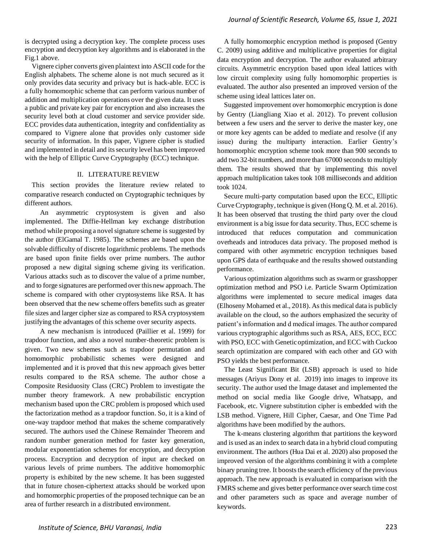is decrypted using a decryption key. The complete process uses encryption and decryption key algorithms and is elaborated in the Fig.1 above.

Vignere cipher converts given plaintext into ASCII code for the English alphabets. The scheme alone is not much secured as it only provides data security and privacy but is hack-able. ECC is a fully homomorphic scheme that can perform various number of addition and multiplication operations over the given data. It uses a public and private key pair for encryption and also increases the security level both at cloud customer and service provider side. ECC provides data authentication, integrity and confidentiality as compared to Vignere alone that provides only customer side security of information. In this paper, Vignere cipher is studied and implemented in detail and its security level has been improved with the help of Elliptic Curve Cryptography (ECC) technique.

# II. LITERATURE REVIEW

This section provides the literature review related to comparative research conducted on Cryptographic techniques by different authors.

 An asymmetric cryptosystem is given and also implemented. The Diffie-Hellman key exchange distribution method while proposing a novel signature scheme is suggested by the author (ElGamal T. 1985). The schemes are based upon the solvable difficulty of discrete logarithmic problems. The methods are based upon finite fields over prime numbers. The author proposed a new digital signing scheme giving its verification. Various attacks such as to discover the value of a prime number, and to forge signatures are performed over this new approach. The scheme is compared with other cryptosystems like RSA. It has been observed that the new scheme offers benefits such as greater file sizes and larger cipher size as compared to RSA cryptosystem justifying the advantages of this scheme over security aspects.

 A new mechanism is introduced (Paillier et al. 1999) for trapdoor function, and also a novel number-theoretic problem is given. Two new schemes such as trapdoor permutation and homomorphic probabilistic schemes were designed and implemented and it is proved that this new approach gives better results compared to the RSA scheme. The author chose a Composite Residuosity Class (CRC) Problem to investigate the number theory framework. A new probabilistic encryption mechanism based upon the CRC problem is proposed which used the factorization method as a trapdoor function. So, it is a kind of one-way trapdoor method that makes the scheme comparatively secured. The authors used the Chinese Remainder Theorem and random number generation method for faster key generation, modular exponentiation schemes for encryption, and decryption process. Encryption and decryption of input are checked on various levels of prime numbers. The additive homomorphic property is exhibited by the new scheme. It has been suggested that in future chosen-ciphertext attacks should be worked upon and homomorphic properties of the proposed technique can be an area of further research in a distributed environment.

A fully homomorphic encryption method is proposed (Gentry C. 2009) using additive and multiplicative properties for digital data encryption and decryption. The author evaluated arbitrary circuits. Asymmetric encryption based upon ideal lattices with low circuit complexity using fully homomorphic properties is evaluated. The author also presented an improved version of the scheme using ideal lattices later on.

Suggested improvement over homomorphic encryption is done by Gentry (Liangliang Xiao et al. 2012). To prevent collusion between a few users and the server to derive the master key, one or more key agents can be added to mediate and resolve (if any issue) during the multiparty interaction. Earlier Gentry's homomorphic encryption scheme took more than 900 seconds to add two 32-bit numbers, and more than 67000 seconds to multiply them. The results showed that by implementing this novel approach multiplication takes took 108 milliseconds and addition took 1024.

Secure multi-party computation based upon the ECC, Elliptic Curve Cryptography, technique is given (Hong Q. M. et al. 2016). It has been observed that trusting the third party over the cloud environment is a big issue for data security. Thus, ECC scheme is introduced that reduces computation and communication overheads and introduces data privacy. The proposed method is compared with other asymmetric encryption techniques based upon GPS data of earthquake and the results showed outstanding performance.

Various optimization algorithms such as swarm or grasshopper optimization method and PSO i.e. Particle Swarm Optimization algorithms were implemented to secure medical images data (Elhoseny Mohamed et al., 2018). As this medical data is publicly available on the cloud, so the authors emphasized the security of patient's information and d medical images. The author compared various cryptographic algorithms such as RSA, AES, ECC, ECC with PSO, ECC with Genetic optimization, and ECC with Cuckoo search optimization are compared with each other and GO with PSO yields the best performance.

The Least Significant Bit (LSB) approach is used to hide messages (Ariyus Dony et al. 2019) into images to improve its security. The author used the Image dataset and implemented the method on social media like Google drive, Whatsapp, and Facebook, etc. Vignere substitution cipher is embedded with the LSB method. Vignere, Hill Cipher, Caesar, and One Time Pad algorithms have been modified by the authors.

The k-means clustering algorithm that partitions the keyword and is used as an index to search data in a hybrid cloud computing environment. The authors (Hua Dai et al. 2020) also proposed the improved version of the algorithms combining it with a complete binary pruning tree. It boosts the search efficiency of the previous approach. The new approach is evaluated in comparison with the FMRS scheme and gives better performance over search time cost and other parameters such as space and average number of keywords.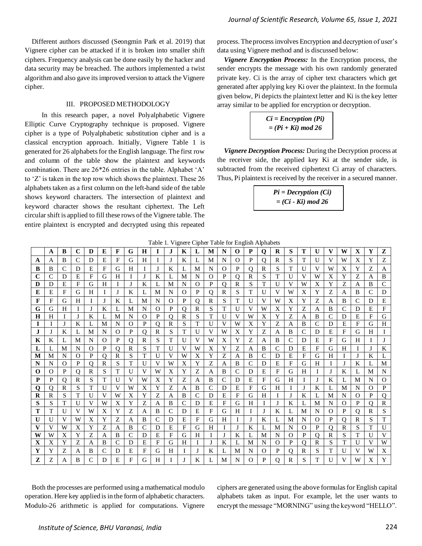Different authors discussed (Seongmin Park et al. 2019) that Vignere cipher can be attacked if it is broken into smaller shift ciphers. Frequency analysis can be done easily by the hacker and data security may be breached. The authors implemented a twist algorithm and also gave its improved version to attack the Vignere cipher.

# III. PROPOSED METHODOLOGY

 In this research paper, a novel Polyalphabetic Vignere Elliptic Curve Cryptography technique is proposed. Vignere cipher is a type of Polyalphabetic substitution cipher and is a classical encryption approach. Initially, Vignere Table 1 is generated for 26 alphabets for the English language. The first row and column of the table show the plaintext and keywords combination. There are 26\*26 entries in the table. Alphabet 'A' to 'Z' is taken in the top row which shows the plaintext. These 26 alphabets taken as a first column on the left-hand side of the table shows keyword characters. The intersection of plaintext and keyword character shows the resultant ciphertext. The Left circular shift is applied to fill these rows of the Vignere table. The entire plaintext is encrypted and decrypted using this repeated

process. The process involves Encryption and decryption of user's data using Vignere method and is discussed below:

*Vignere Encryption Process:* In the Encryption process, the sender encrypts the message with his own randomly generated private key. Ci is the array of cipher text characters which get generated after applying key Ki over the plaintext. In the formula given below, Pi depicts the plaintext letter and Ki is the key letter array similar to be applied for encryption or decryption.

> *Ci = Encryption (Pi) = (Pi + Ki) mod 26*

*Vignere Decryption Process:* During the Decryption process at the receiver side, the applied key Ki at the sender side, is subtracted from the received ciphertext Ci array of characters. Thus, Pi plaintext is received by the receiver in a secured manner.

| $Pi = Decryption (Ci)$ |  |
|------------------------|--|
| $= (Ci - Ki) \mod 26$  |  |

|  |  |  | Table 1. Vignere Cipher Table for English Alphabets |
|--|--|--|-----------------------------------------------------|
|  |  |  |                                                     |

|              | $\mathbb{R}^{n\times n}$ cipine: Taone for Engine: $\mathbb{R}^{n}$ |              |              |               |              |              |           |          |              |              |          |               |               |               |              |              |              |               |              |               |               |               |              |   |          |              |
|--------------|---------------------------------------------------------------------|--------------|--------------|---------------|--------------|--------------|-----------|----------|--------------|--------------|----------|---------------|---------------|---------------|--------------|--------------|--------------|---------------|--------------|---------------|---------------|---------------|--------------|---|----------|--------------|
|              | A                                                                   | B            | C            | D             | E            | F            | G         | н        | I            | J.           | K        | L             | M             | N             | $\Omega$     | P            | $\mathbf 0$  | $\bf{R}$      | S            | Т             | $\mathbf{U}$  | V             | W            | X | Y        | z            |
| A            | А                                                                   | B            | C            | D             | E            | $F_{\rm}$    | G         | H        | Ι            | L            | K        | L             | M             | N             | $\Omega$     | P            | 0            | R             | S            | T             | U             | V             | W            | X | Y        | Z            |
| B            | B                                                                   | $\mathsf{C}$ | D            | E             | F            | G            | H         |          | J            | K            |          | М             | N             | $\Omega$      | P            | 0            | $\mathbb{R}$ | S             | т            | $\mathbf{U}$  | V             | W             | Χ            | Y | Ζ        | A            |
| $\mathbf C$  | $\mathsf{C}$                                                        | D            | E            | F             | G            | H            |           |          | K            | L            | M        | N             | $\Omega$      | P             | $\Omega$     | R            | S            | T             | U            | V             | W             | X             | Y            | Ζ | A        | B            |
| D            | D                                                                   | E            | F            | G             | H            | L            | J         | K        | L            | M            | N        | $\Omega$      | P             | $\Omega$      | R            | S            | T            | U             | V            | W             | X             | Y             | Z            | A | B        | $\mathsf{C}$ |
| E            | E                                                                   | F            | G            | H             | I            | J            | K         | L        | M            | N            | $\Omega$ | P             | $\mathbf Q$   | $\mathbb{R}$  | S            | T            | U            | V             | W            | X             | Y             | Z             | A            | B | C        | D            |
| F            | $\mathbf F$                                                         | G            | H            |               | J            | K            |           | M        | N            | $\Omega$     | P        | $\mathbf Q$   | R             | S             | T            | U            | V            | W             | X            | Y             | Ζ             | A             | B            | C | D        | E            |
| G            | G                                                                   | H            |              |               | K            | L            | M         | N        | $\Omega$     | $\mathbf{P}$ | $\Omega$ | R             | S             | T             | U            | V            | W            | X             | Y            | Z             | A             | B             | C            | D | E        | $\mathbf F$  |
| $\bf H$      | H                                                                   | Τ            |              | K             | L            | M            | N         | $\Omega$ | P            | $\Omega$     | R        | S             | T             | $\mathbf{U}$  | V            | W            | X            | Y             | Ζ            | А             | B             | $\mathcal{C}$ | D            | E | F        | G            |
| 1            | Ι                                                                   | J            | K            | L             | M            | N            | $\Omega$  | P        | $\mathbf{O}$ | $\mathbb{R}$ | S        | T             | U             | V             | W            | X            | Y            | Z             | A            | B             | $\mathcal{C}$ | D             | E            | F | G        | H            |
| $\mathbf{J}$ | J                                                                   | K            |              | M             | N            | $\Omega$     | P         | $\Omega$ | $\mathbb{R}$ | S            | T        | U             | V             | W             | X            | Y            | Z            | A             | B            | $\mathcal{C}$ | D             | E             | F            | G | H        | $\mathbf{I}$ |
| Κ            | K                                                                   | L            | M            | N             | $\Omega$     | P            | Q         | R        | S            | T            | U        | V             | W             | X             | Y            | Z            | A            | B             | $\mathsf{C}$ | D             | E             | F             | G            | H | I        | $\mathbf{I}$ |
| L            | L                                                                   | M            | N            | $\Omega$      | P            | $\mathbf{O}$ | R         | S        | T            | $\mathbf{U}$ | V        | W             | X             | Y             | Ζ            | A            | B            | $\mathcal{C}$ | D            | Ε             | F             | G             | H            |   | J        | K            |
| M            | М                                                                   | N            | $\Omega$     | P             | $\Omega$     | $\mathbb{R}$ | S         | T        | $\mathbf{U}$ | V            | W        | X             | Y             | Z             | A            | B            | $\mathsf{C}$ | D             | E            | $\mathbf{F}$  | G             | H             |              |   | K        | L            |
| N            | N                                                                   | $\Omega$     | P            | $\Omega$      | R            | S            | T         | U        | V            | W            | X        | Y             | Z             | A             | B            | C            | D            | E             | F            | G             | H             | L             | J            | K | L        | М            |
| $\bf{0}$     | $\Omega$                                                            | P            | Q            | R             | S            | T            | U         | V        | W            | X            | Y        | Z             | A             | B             | $\mathsf{C}$ | D            | E            | F             | G            | H             | I             | J             | K            | L | M        | N            |
| P            | P                                                                   | Q            | $\mathbb{R}$ | S             | T            | $\mathbf{U}$ | V         | W        | X            | Y            | Z        | A             | B             | $\mathcal{C}$ | D            | E            | $\mathbf{F}$ | G             | H            |               | J             | K             | L            | М | N        | $\Omega$     |
| $\mathbf 0$  | Q                                                                   | R            | S            | T             | $\mathbf{U}$ | V            | W         | X        | Y            | Z            | A        | B             | $\mathcal{C}$ | D             | E            | $\mathbf{F}$ | G            | H             |              | J             | K             | L             | M            | N | $\Omega$ | P            |
| $\bf{R}$     | $\mathbb{R}$                                                        | S            | T            | U             | V            | W            | X         | Y        | Z            | A            | B        | $\mathcal{C}$ | D             | E             | F            | G            | H            | I             |              | K             | L             | M             | N            | O | P        | Q            |
| S            | S                                                                   | T            | U            | V             | W            | X            | Y         | Z        | A            | B            | С        | D             | E             | F             | G            | H            | L            | J             | K            | L             | M             | N             | $\Omega$     | P | 0        | ${\bf R}$    |
| т            | T                                                                   | U            | V            | W             | X            | Y            | Z         | A        | B            | C            | D        | Ε             | F             | G             | H            |              | J            | K             |              | M             | N             | $\Omega$      | P            | Q | R        | S            |
| $\mathbf{U}$ | U                                                                   | V            | W            | X             | Y            | Z            | A         | B        | C            | D            | E        | F             | G             | H             |              |              | K            | L             | M            | N             | $\Omega$      | P             | $\mathbf Q$  | R | S        | T            |
| V            | V                                                                   | W            | X            | Y             | Z            | A            | B         | C        | D            | E            | F        | G             | H             | Ι             | L            | K            | L            | М             | N            | $\Omega$      | P             | $\Omega$      | $\mathbb{R}$ | S | T        | $\mathbf{U}$ |
| W            | W                                                                   | X            | Y            | Ζ             | А            | B            | C         | D        | Ε            | F            | G        | H             | I             | L             | K            | L            | M            | N             | $\Omega$     | P             | $\Omega$      | R             | S            | T | U        | V            |
| X            | X                                                                   | Y            | Z            | A             | B            | C            | D         | E        | F            | G            | H        | I             | J             | K             | L            | M            | N            | $\Omega$      | P            | $\Omega$      | R             | S             | T            | U | V        | W            |
| Y            | Y                                                                   | Ζ            | A            | B             | C            | D            | E         | F        | G            | H            |          |               | K             | L             | M            | N            | $\Omega$     | P             | Q            | R             | S             | T             | U            | V | W        | X            |
| Z            | Z                                                                   | A            | B            | $\mathcal{C}$ | D            | E            | $F_{\rm}$ | G        | H            | L            | J        | K             | L             | M             | N            | $\Omega$     | P            | $\Omega$      | R            | S             | T             | $\mathbf{U}$  | V            | W | X        | Y            |

Both the processes are performed using a mathematical modulo operation. Here key applied is in the form of alphabetic characters. Modulo-26 arithmetic is applied for computations. Vignere

ciphers are generated using the above formulas for English capital alphabets taken as input. For example, let the user wants to encrypt the message "MORNING" using the keyword "HELLO".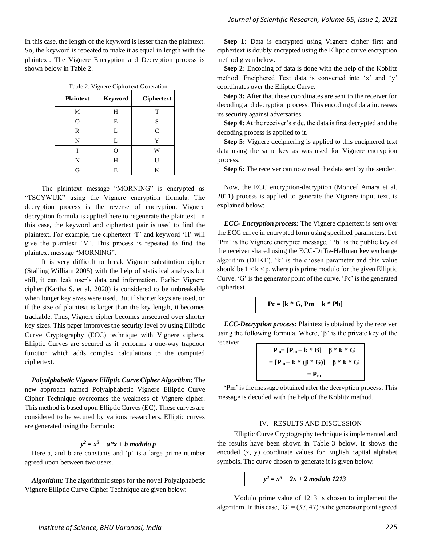In this case, the length of the keyword is lesser than the plaintext. So, the keyword is repeated to make it as equal in length with the plaintext. The Vignere Encryption and Decryption process is shown below in Table 2.

| Table 2. Vignere Ciphertext Generation |  |  |  |  |  |  |  |  |
|----------------------------------------|--|--|--|--|--|--|--|--|
|----------------------------------------|--|--|--|--|--|--|--|--|

| <b>Plaintext</b> | <b>Keyword</b> | <b>Ciphertext</b> |
|------------------|----------------|-------------------|
| М                | Н              | T                 |
| O                | E              | S                 |
| R                | L              | $\mathcal{C}$     |
| N                | L              | Y                 |
|                  | ∩              | W                 |
| N                | Н              | Н                 |
| G                | E              | K                 |

 The plaintext message "MORNING" is encrypted as "TSCYWUK" using the Vignere encryption formula. The decryption process is the reverse of encryption. Vignere decryption formula is applied here to regenerate the plaintext. In this case, the keyword and ciphertext pair is used to find the plaintext. For example, the ciphertext 'T' and keyword 'H' will give the plaintext 'M'. This process is repeated to find the plaintext message "MORNING".

 It is very difficult to break Vignere substitution cipher (Stalling William 2005) with the help of statistical analysis but still, it can leak user's data and information. Earlier Vignere cipher (Kartha S. et al. 2020) is considered to be unbreakable when longer key sizes were used. But if shorter keys are used, or if the size of plaintext is larger than the key length, it becomes trackable. Thus, Vignere cipher becomes unsecured over shorter key sizes. This paper improves the security level by using Elliptic Curve Cryptography (ECC) technique with Vignere ciphers. Elliptic Curves are secured as it performs a one-way trapdoor function which adds complex calculations to the computed ciphertext.

*Polyalphabetic Vignere Elliptic Curve Cipher Algorithm:* The new approach named Polyalphabetic Vignere Elliptic Curve Cipher Technique overcomes the weakness of Vignere cipher. This method is based upon Elliptic Curves (EC). These curves are considered to be secured by various researchers. Elliptic curves are generated using the formula:

# $y^2 = x^3 + a^*x + b$  *modulo p*

Here a, and b are constants and 'p' is a large prime number agreed upon between two users.

*Algorithm:* The algorithmic steps for the novel Polyalphabetic Vignere Elliptic Curve Cipher Technique are given below:

**Step 1:** Data is encrypted using Vignere cipher first and ciphertext is doubly encrypted using the Elliptic curve encryption method given below.

**Step 2:** Encoding of data is done with the help of the Koblitz method. Enciphered Text data is converted into 'x' and 'y' coordinates over the Elliptic Curve.

**Step 3:** After that these coordinates are sent to the receiver for decoding and decryption process. This encoding of data increases its security against adversaries.

**Step 4:** At the receiver's side, the data is first decrypted and the decoding process is applied to it.

**Step 5:** Vignere deciphering is applied to this enciphered text data using the same key as was used for Vignere encryption process.

**Step 6:** The receiver can now read the data sent by the sender.

Now, the ECC encryption-decryption (Moncef Amara et al. 2011) process is applied to generate the Vignere input text, is explained below:

*ECC- Encryption process:* The Vignere ciphertext is sent over the ECC curve in encrypted form using specified parameters. Let 'Pm' is the Vignere encrypted message, 'Pb' is the public key of the receiver shared using the ECC-Diffie-Hellman key exchange algorithm (DHKE). 'k' is the chosen parameter and this value should be  $1 < k < p$ , where p is prime modulo for the given Elliptic Curve. 'G' is the generator point of the curve. 'Pc' is the generated ciphertext.

$$
Pc = [k * G, Pm + k * Pb]
$$

*ECC-Decryption process:* Plaintext is obtained by the receiver using the following formula. Where, ' $\beta$ ' is the private key of the receiver.

$$
P_m = [P_m + k * B] - \beta * k * G
$$
  
= 
$$
[P_m + k * (\beta * G)] - \beta * k * G
$$
  
= 
$$
P_m
$$

'Pm' is the message obtained after the decryption process. This message is decoded with the help of the Koblitz method.

#### IV. RESULTS AND DISCUSSION

 Elliptic Curve Cryptography technique is implemented and the results have been shown in Table 3 below. It shows the encoded (x, y) coordinate values for English capital alphabet symbols. The curve chosen to generate it is given below:

*y <sup>2</sup> = x<sup>3</sup> + 2x + 2 modulo 1213*

 Modulo prime value of 1213 is chosen to implement the algorithm. In this case, ' $G' = (37, 47)$  is the generator point agreed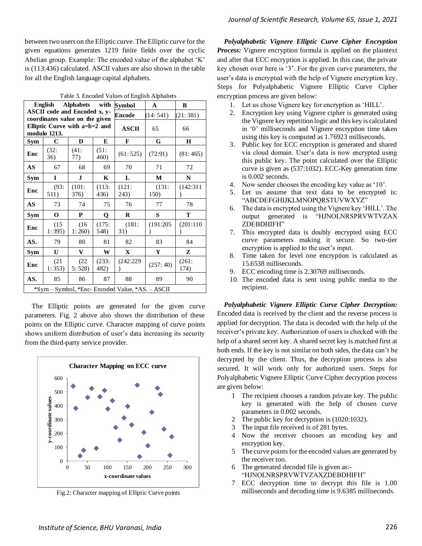between two users on the Elliptic curve. The Elliptic curve for the given equations generates 1219 finite fields over the cyclic Abelian group. Example: The encoded value of the alphabet 'K' is (113:436) calculated. ASCII values are also shown in the table for all the English language capital alphabets.

|                                   | English                                                        | <b>Alphabets</b> | with              | Symbol                                           | A                 | B                 |
|-----------------------------------|----------------------------------------------------------------|------------------|-------------------|--------------------------------------------------|-------------------|-------------------|
|                                   | ASCII code and Encoded x, y-<br>coordinates value on the given |                  |                   | <b>Encode</b>                                    | (14:541)          | (21:381)          |
|                                   | Elliptic Curve with a=b=2 and<br>modulo 1213.                  |                  |                   | <b>ASCII</b>                                     | 65                | 66                |
| Sym                               | C                                                              | D                | E                 | F                                                | G                 | H                 |
| Enc                               | $(32)$ :<br>36)                                                | (41:<br>77)      | (51:<br>460)      | (61:525)                                         | (72:91)           | (81:465)          |
| AS                                | 67                                                             | 68               | 69                | 70                                               | 71                | 72                |
| Sym                               | I                                                              | J.               | K                 | L                                                | M                 | N                 |
| Enc                               | (93:<br>511)                                                   | (101:<br>376)    | (113:<br>436)     | $(121)$ :<br>243)                                | $(131)$ :<br>150) | (142:311)         |
| $\overline{\mathbf{A}}\mathbf{S}$ | 73                                                             | 74               | 75                | 76                                               | 77                | 78                |
| Sym                               | $\mathbf 0$                                                    | P                | Q                 | R                                                | S                 | T                 |
| Enc                               | (15)<br>1:395                                                  | (16)<br>1:260    | (175:<br>548)     | (181:<br>31)                                     | (191:205)         | (201:110)         |
| AS.                               | 79                                                             | 80               | 81                | 82                                               | 83                | 84                |
| Sym                               | U                                                              | V                | W                 | $\mathbf{X}$                                     | Y                 | Z                 |
| Enc                               | (21)<br>1:353)                                                 | (22)<br>5:528    | $(233)$ :<br>482) | (242:229)                                        | (257:40)          | $(261)$ :<br>174) |
| AS.                               | 85                                                             | 86               | 87                | 88                                               | 89                | 90                |
|                                   |                                                                |                  |                   | *Sym - Symbol, *Enc- Encoded Value, *AS. - ASCII |                   |                   |

Table 3. Encoded Values of English Alphabets

The Elliptic points are generated for the given curve parameters. Fig. 2 above also shows the distribution of these points on the Elliptic curve. Character mapping of curve points shows uniform distribution of user's data increasing its security from the third-party service provider.



Fig.2: Character mapping of Elliptic Curve points

*Polyalphabetic Vignere Elliptic Curve Cipher Encryption Process:* Vignere encryption formula is applied on the plaintext and after that ECC encryption is applied. In this case, the private key chosen over here is '3'. For the given curve parameters, the user's data is encrypted with the help of Vignere encryption key. Steps for Polyalphabetic Vignere Elliptic Curve Cipher encryption process are given below:

- 1. Let us chose Vignere key for encryption as 'HILL'.
- 2. Encryption key using Vignere cipher is generated using the Vignere key repetition logic and this key is calculated in '0' milliseconds and Vignere encryption time taken using this key is computed as 1.76923 milliseconds.
- 3. Public key for ECC encryption is generated and shared via cloud domain. User's data is now encrypted using this public key. The point calculated over the Elliptic curve is given as (537:1032). ECC-Key generation time is 0.002 seconds.
- 4. Now sender chooses the encoding key value as '10'.
- 5. Let us assume that text data to be encrypted is: "ABCDEFGHIJKLMNOPQRSTUVWXYZ"
- 6. The data is encrypted using the Vignere key 'HILL'. The output generated is "HJNOLNRSPRVWTVZAX ZDEBDHIFH"
- 7. This encrypted data is doubly encrypted using ECC curve parameters making it secure. So two-tier encryption is applied to the user's input.
- 8. Time taken for level one encryption is calculated as 15.6538 milliseconds.
- 9. ECC encoding time is 2.30769 milliseconds.
- 10. The encoded data is sent using public media to the recipient.

*Polyalphabetic Vignere Elliptic Curve Cipher Decryption:* Encoded data is received by the client and the reverse process is applied for decryption. The data is decoded with the help of the receiver's private key. Authorization of users is checked with the help of a shared secret key. A shared secret key is matched first at both ends. If the key is not similar on both sides, the data can't be decrypted by the client. Thus, the decryption process is also secured. It will work only for authorized users. Steps for Polyalphabetic Vignere Elliptic Curve Cipher decryption process are given below:

- 1 The recipient chooses a random private key. The public key is generated with the help of chosen curve parameters in 0.002 seconds.
- 2 The public key for decryption is (1020:1032).
- 3 The input file received is of 281 bytes.
- 4 Now the receiver chooses an encoding key and encryption key.
- 5 The curve points for the encoded values are generated by the receiver too.
- 6 The generated decoded file is given as:- "HJNOLNRSPRVWTVZAXZDEBDHIFH"
- 7 ECC decryption time to decrypt this file is 1.00 milliseconds and decoding time is 9.6385 milliseconds.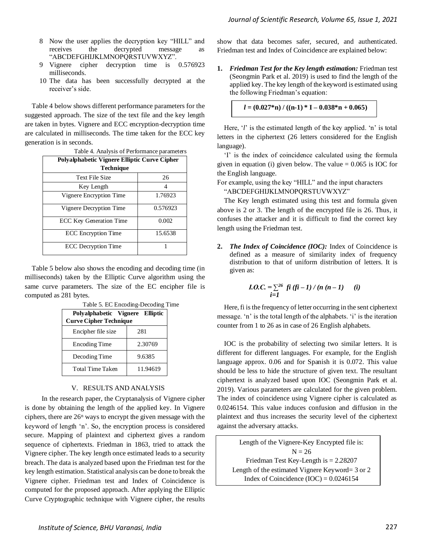- 8 Now the user applies the decryption key "HILL" and receives the decrypted message as "ABCDEFGHIJKLMNOPQRSTUVWXYZ".
- 9 Vignere cipher decryption time is 0.576923 milliseconds.
- 10 The data has been successfully decrypted at the receiver's side.

Table 4 below shows different performance parameters for the suggested approach. The size of the text file and the key length are taken in bytes. Vignere and ECC encryption-decryption time are calculated in milliseconds. The time taken for the ECC key generation is in seconds.

| Polyalphabetic Vignere Elliptic Curve Cipher |          |  |  |  |  |  |  |  |
|----------------------------------------------|----------|--|--|--|--|--|--|--|
| <b>Technique</b>                             |          |  |  |  |  |  |  |  |
| <b>Text File Size</b>                        | 26       |  |  |  |  |  |  |  |
| Key Length                                   |          |  |  |  |  |  |  |  |
| Vignere Encryption Time                      | 1.76923  |  |  |  |  |  |  |  |
| Vignere Decryption Time                      | 0.576923 |  |  |  |  |  |  |  |
| <b>ECC Key Generation Time</b>               | 0.002    |  |  |  |  |  |  |  |
| <b>ECC</b> Encryption Time                   | 15.6538  |  |  |  |  |  |  |  |
| <b>ECC</b> Decryption Time                   |          |  |  |  |  |  |  |  |

Table 4. Analysis of Performance parameters

Table 5 below also shows the encoding and decoding time (in milliseconds) taken by the Elliptic Curve algorithm using the same curve parameters. The size of the EC encipher file is computed as 281 bytes.

| Polvalphabetic Vignere Elliptic<br><b>Curve Cipher Technique</b> |          |
|------------------------------------------------------------------|----------|
| Encipher file size                                               | 281      |
| <b>Encoding Time</b>                                             | 2.30769  |
| Decoding Time                                                    | 9.6385   |
| <b>Total Time Taken</b>                                          | 11.94619 |

Table 5. EC Encoding-Decoding Time

# V. RESULTS AND ANALYSIS

 In the research paper, the Cryptanalysis of Vignere cipher is done by obtaining the length of the applied key. In Vignere ciphers, there are 26<sup>n</sup> ways to encrypt the given message with the keyword of length 'n'. So, the encryption process is considered secure. Mapping of plaintext and ciphertext gives a random sequence of ciphertexts. Friedman in 1863, tried to attack the Vignere cipher. The key length once estimated leads to a security breach. The data is analyzed based upon the Friedman test for the key length estimation. Statistical analysis can be done to break the Vignere cipher. Friedman test and Index of Coincidence is computed for the proposed approach. After applying the Elliptic Curve Cryptographic technique with Vignere cipher, the results

show that data becomes safer, secured, and authenticated. Friedman test and Index of Coincidence are explained below:

**1.** *Friedman Test for the Key length estimation:* Friedman test (Seongmin Park et al. 2019) is used to find the length of the applied key. The key length of the keyword is estimated using the following Friedman's equation:

```
l = (0.027 * n) / ((n-1) * I - 0.038 * n + 0.065)
```
Here, '*l*' is the estimated length of the key applied. 'n' is total letters in the ciphertext (26 letters considered for the English language).

'I' is the index of coincidence calculated using the formula given in equation (i) given below. The value  $= 0.065$  is IOC for the English language.

For example, using the key "HILL" and the input characters "ABCDEFGHIJKLMNOPQRSTUVWXYZ"

The Key length estimated using this test and formula given above is 2 or 3. The length of the encrypted file is 26. Thus, it confuses the attacker and it is difficult to find the correct key length using the Friedman test.

**2.** *The Index of Coincidence (IOC):* Index of Coincidence is defined as a measure of similarity index of frequency distribution to that of uniform distribution of letters. It is given as:

*I.O.C.* = 
$$
\sum_{i=1}^{26} f i (fi - 1) / (n (n - 1)
$$
 (i)  
*i*=1

Here, fi is the frequency of letter occurring in the sent ciphertext message. 'n' is the total length of the alphabets. 'i' is the iteration counter from 1 to 26 as in case of 26 English alphabets.

IOC is the probability of selecting two similar letters. It is different for different languages. For example, for the English language approx. 0.06 and for Spanish it is 0.072. This value should be less to hide the structure of given text. The resultant ciphertext is analyzed based upon IOC (Seongmin Park et al. 2019). Various parameters are calculated for the given problem. The index of coincidence using Vignere cipher is calculated as 0.0246154. This value induces confusion and diffusion in the plaintext and thus increases the security level of the ciphertext against the adversary attacks.

Length of the Vignere-Key Encrypted file is:  $N = 26$ Friedman Test Key-Length is = 2.28207 Length of the estimated Vignere Keyword= 3 or 2 Index of Coincidence  $(IOC) = 0.0246154$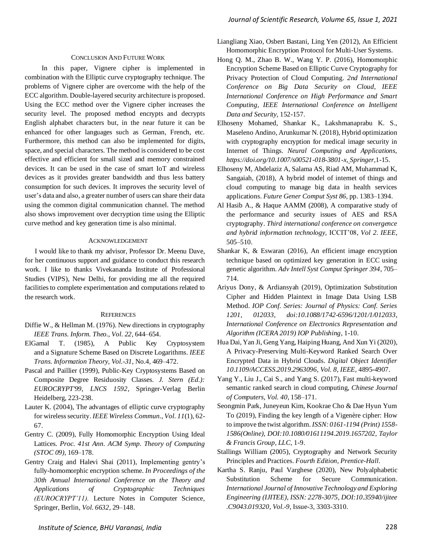#### CONCLUSION AND FUTURE WORK

 In this paper, Vignere cipher is implemented in combination with the Elliptic curve cryptography technique. The problems of Vignere cipher are overcome with the help of the ECC algorithm. Double-layered security architecture is proposed. Using the ECC method over the Vignere cipher increases the security level. The proposed method encrypts and decrypts English alphabet characters but, in the near future it can be enhanced for other languages such as German, French, etc. Furthermore, this method can also be implemented for digits, space, and special characters. The method is considered to be cost effective and efficient for small sized and memory constrained devices. It can be used in the case of smart IoT and wireless devices as it provides greater bandwidth and thus less battery consumption for such devices. It improves the security level of user's data and also, a greater number of users can share their data using the common digital communication channel. The method also shows improvement over decryption time using the Elliptic curve method and key generation time is also minimal.

# ACKNOWLEDGEMENT

 I would like to thank my advisor, Professor Dr. Meenu Dave, for her continuous support and guidance to conduct this research work. I like to thanks Vivekananda Institute of Professional Studies (VIPS), New Delhi, for providing me all the required facilities to complete experimentation and computations related to the research work.

#### **REFERENCES**

- Diffie W., & Hellman M. (1976). New directions in cryptography *IEEE Trans. Inform. Theo.*, *Vol. 22*, 644–654.
- ElGamal T. (1985), A Public Key Cryptosystem and a Signature Scheme Based on Discrete Logarithms. *IEEE Trans. Information Theory, Vol.-31*, No.4, 469–472.
- Pascal and Paillier (1999), Public-Key Cryptosystems Based on Composite Degree Residuosity Classes*. J. Stern (Ed.): EUROCRYPT'99, LNCS 1592*, Springer-Verlag Berlin Heidelberg, 223-238.
- Lauter K. (2004), The advantages of elliptic curve cryptography for wireless security. *IEEE Wireless Commun.*, *Vol. 11*(1), 62- 67.
- Gentry C. (2009), Fully Homomorphic Encryption Using Ideal Lattices. *Proc. 41st Ann. ACM Symp. Theory of Computing (STOC 09)*, 169–178.
- Gentry Craig and Halevi Shai (2011), Implementing gentry's fully-homomorphic encryption scheme. *In Proceedings of the 30th Annual International Conference on the Theory and Applications of Cryptographic Techniques (EUROCRYPT'11).* Lecture Notes in Computer Science, Springer, Berlin, *Vol. 6632,* 29–148.
- Liangliang Xiao, Osbert Bastani, Ling Yen (2012), An Efficient Homomorphic Encryption Protocol for Multi-User Systems.
- Hong Q. M., Zhao B. W., Wang Y. P. (2016), Homomorphic Encryption Scheme Based on Elliptic Curve Cryptography for Privacy Protection of Cloud Computing. *2nd International Conference on Big Data Security on Cloud, IEEE International Conference on High Performance and Smart Computing, IEEE International Conference on Intelligent Data and Security,* 152-157.
- Elhoseny Mohamed, Shankar K., Lakshmanaprabu K. S., Maseleno Andino, Arunkumar N. (2018), Hybrid optimization with cryptography encryption for medical image security in Internet of Things. *Neural Computing and Applications, https://doi.org/10.1007/s00521-018-3801-x, Springer,*1-15.
- Elhoseny M, Abdelaziz A, Salama AS, Riad AM, Muhammad K, Sangaiah, (2018), A hybrid model of internet of things and cloud computing to manage big data in health services applications. *Future Gener Comput Syst 86,* pp. 1383–1394.
- Al Hasib A., & Haque AAMM (2008), A comparative study of the performance and security issues of AES and RSA cryptography. *Third international conference on convergence and hybrid information technology,* ICCIT'08, *Vol 2. IEEE,* 505–510.
- Shankar K, & Eswaran (2016), An efficient image encryption technique based on optimized key generation in ECC using genetic algorithm. *Adv Intell Syst Comput Springer 394*, 705– 714.
- Ariyus Dony, & Ardiansyah (2019), Optimization Substitution Cipher and Hidden Plaintext in Image Data Using LSB Method. *IOP Conf. Series: Journal of Physics: Conf. Series 1201, 012033, doi:10.1088/1742-6596/1201/1/012033, International Conference on Electronics Representation and Algorithm (ICERA 2019) IOP Publishing*, 1-10.
- Hua Dai, Yan Ji, Geng Yang, Haiping Huang, And Xun Yi (2020), A Privacy-Preserving Multi-Keyword Ranked Search Over Encrypted Data in Hybrid Clouds. *Digital Object Identifier 10.1109/ACCESS.2019.2963096, Vol. 8, IEEE*, 4895-4907.
- Yang Y., Liu J., Cai S., and Yang S. (2017), Fast multi-keyword semantic ranked search in cloud computing, *Chinese Journal of Computers, Vol. 40*, 158–171.
- Seongmin Park, Juneyeun Kim, Kookrae Cho & Dae Hyun Yum To (2019), Finding the key length of a Vigenère cipher: How to improve the twist algorithm. *ISSN: 0161-1194 (Print) 1558- 1586(Online), DOI:10.1080/01611194.2019.1657202, Taylor & Francis Group, LLC,* 1-9.
- Stallings William (2005), Cryptography and Network Security Principles and Practices. *Fourth Edition, Prentice-Hall*.
- Kartha S. Ranju, Paul Varghese (2020), New Polyalphabetic Substitution Scheme for Secure Communication. *International Journal of Innovative Technology and Exploring Engineering (IJITEE), ISSN: 2278-3075, DOI:10.35940/ijitee .C9043.019320, Vol.-9,* Issue-3, 3303-3310.